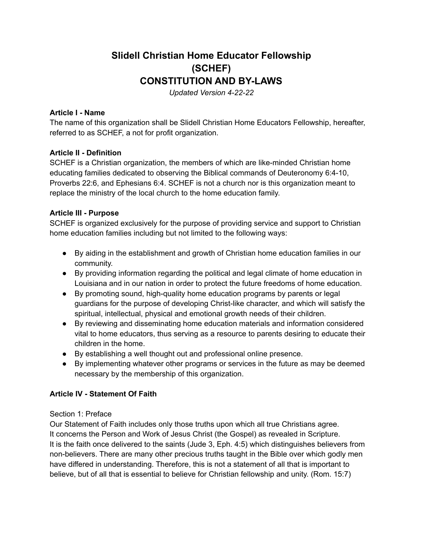# **Slidell Christian Home Educator Fellowship (SCHEF) CONSTITUTION AND BY-LAWS**

*Updated Version 4-22-22*

#### **Article I - Name**

The name of this organization shall be Slidell Christian Home Educators Fellowship, hereafter, referred to as SCHEF, a not for profit organization.

#### **Article II - Definition**

SCHEF is a Christian organization, the members of which are like-minded Christian home educating families dedicated to observing the Biblical commands of Deuteronomy 6:4-10, Proverbs 22:6, and Ephesians 6:4. SCHEF is not a church nor is this organization meant to replace the ministry of the local church to the home education family.

#### **Article III - Purpose**

SCHEF is organized exclusively for the purpose of providing service and support to Christian home education families including but not limited to the following ways:

- By aiding in the establishment and growth of Christian home education families in our community.
- By providing information regarding the political and legal climate of home education in Louisiana and in our nation in order to protect the future freedoms of home education.
- By promoting sound, high-quality home education programs by parents or legal guardians for the purpose of developing Christ-like character, and which will satisfy the spiritual, intellectual, physical and emotional growth needs of their children.
- By reviewing and disseminating home education materials and information considered vital to home educators, thus serving as a resource to parents desiring to educate their children in the home.
- By establishing a well thought out and professional online presence.
- By implementing whatever other programs or services in the future as may be deemed necessary by the membership of this organization.

#### **Article IV - Statement Of Faith**

#### Section 1: Preface

Our Statement of Faith includes only those truths upon which all true Christians agree. It concerns the Person and Work of Jesus Christ (the Gospel) as revealed in Scripture. It is the faith once delivered to the saints (Jude 3, Eph. 4:5) which distinguishes believers from non-believers. There are many other precious truths taught in the Bible over which godly men have differed in understanding. Therefore, this is not a statement of all that is important to believe, but of all that is essential to believe for Christian fellowship and unity. (Rom. 15:7)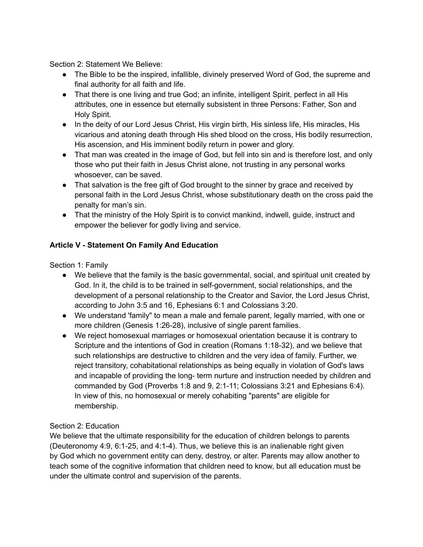Section 2: Statement We Believe:

- The Bible to be the inspired, infallible, divinely preserved Word of God, the supreme and final authority for all faith and life.
- That there is one living and true God; an infinite, intelligent Spirit, perfect in all His attributes, one in essence but eternally subsistent in three Persons: Father, Son and Holy Spirit.
- In the deity of our Lord Jesus Christ, His virgin birth, His sinless life, His miracles, His vicarious and atoning death through His shed blood on the cross, His bodily resurrection, His ascension, and His imminent bodily return in power and glory.
- That man was created in the image of God, but fell into sin and is therefore lost, and only those who put their faith in Jesus Christ alone, not trusting in any personal works whosoever, can be saved.
- That salvation is the free gift of God brought to the sinner by grace and received by personal faith in the Lord Jesus Christ, whose substitutionary death on the cross paid the penalty for man's sin.
- That the ministry of the Holy Spirit is to convict mankind, indwell, guide, instruct and empower the believer for godly living and service.

# **Article V - Statement On Family And Education**

Section 1: Family

- We believe that the family is the basic governmental, social, and spiritual unit created by God. In it, the child is to be trained in self-government, social relationships, and the development of a personal relationship to the Creator and Savior, the Lord Jesus Christ, according to John 3:5 and 16, Ephesians 6:1 and Colossians 3:20.
- We understand 'family" to mean a male and female parent, legally married, with one or more children (Genesis 1:26-28), inclusive of single parent families.
- We reject homosexual marriages or homosexual orientation because it is contrary to Scripture and the intentions of God in creation (Romans 1:18-32), and we believe that such relationships are destructive to children and the very idea of family. Further, we reject transitory, cohabitational relationships as being equally in violation of God's laws and incapable of providing the long- term nurture and instruction needed by children and commanded by God (Proverbs 1:8 and 9, 2:1-11; Colossians 3:21 and Ephesians 6:4). In view of this, no homosexual or merely cohabiting "parents" are eligible for membership.

# Section 2: Education

We believe that the ultimate responsibility for the education of children belongs to parents (Deuteronomy 4:9, 6:1-25, and 4:1-4). Thus, we believe this is an inalienable right given by God which no government entity can deny, destroy, or alter. Parents may allow another to teach some of the cognitive information that children need to know, but all education must be under the ultimate control and supervision of the parents.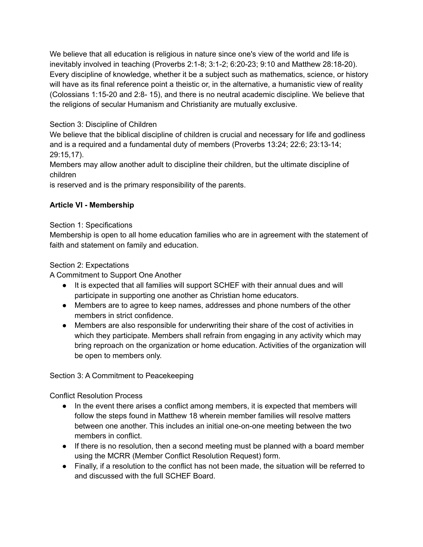We believe that all education is religious in nature since one's view of the world and life is inevitably involved in teaching (Proverbs 2:1-8; 3:1-2; 6:20-23; 9:10 and Matthew 28:18-20). Every discipline of knowledge, whether it be a subject such as mathematics, science, or history will have as its final reference point a theistic or, in the alternative, a humanistic view of reality (Colossians 1:15-20 and 2:8- 15), and there is no neutral academic discipline. We believe that the religions of secular Humanism and Christianity are mutually exclusive.

# Section 3: Discipline of Children

We believe that the biblical discipline of children is crucial and necessary for life and godliness and is a required and a fundamental duty of members (Proverbs 13:24; 22:6; 23:13-14; 29:15,17).

Members may allow another adult to discipline their children, but the ultimate discipline of children

is reserved and is the primary responsibility of the parents.

# **Article VI - Membership**

# Section 1: Specifications

Membership is open to all home education families who are in agreement with the statement of faith and statement on family and education.

#### Section 2: Expectations

A Commitment to Support One Another

- It is expected that all families will support SCHEF with their annual dues and will participate in supporting one another as Christian home educators.
- Members are to agree to keep names, addresses and phone numbers of the other members in strict confidence.
- Members are also responsible for underwriting their share of the cost of activities in which they participate. Members shall refrain from engaging in any activity which may bring reproach on the organization or home education. Activities of the organization will be open to members only.

# Section 3: A Commitment to Peacekeeping

Conflict Resolution Process

- In the event there arises a conflict among members, it is expected that members will follow the steps found in Matthew 18 wherein member families will resolve matters between one another. This includes an initial one-on-one meeting between the two members in conflict.
- If there is no resolution, then a second meeting must be planned with a board member using the MCRR (Member Conflict Resolution Request) form.
- Finally, if a resolution to the conflict has not been made, the situation will be referred to and discussed with the full SCHEF Board.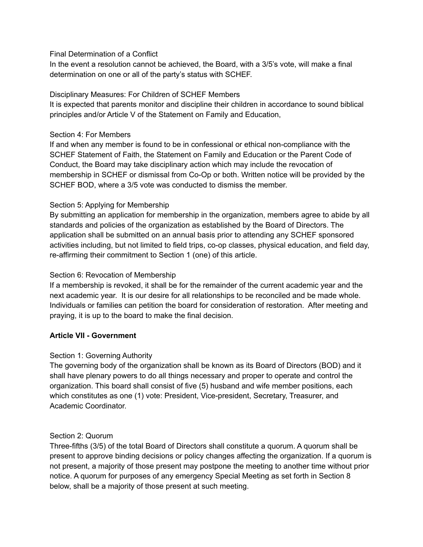#### Final Determination of a Conflict

In the event a resolution cannot be achieved, the Board, with a 3/5's vote, will make a final determination on one or all of the party's status with SCHEF.

#### Disciplinary Measures: For Children of SCHEF Members

It is expected that parents monitor and discipline their children in accordance to sound biblical principles and/or Article V of the Statement on Family and Education,

#### Section 4: For Members

If and when any member is found to be in confessional or ethical non-compliance with the SCHEF Statement of Faith, the Statement on Family and Education or the Parent Code of Conduct, the Board may take disciplinary action which may include the revocation of membership in SCHEF or dismissal from Co-Op or both. Written notice will be provided by the SCHEF BOD, where a 3/5 vote was conducted to dismiss the member.

#### Section 5: Applying for Membership

By submitting an application for membership in the organization, members agree to abide by all standards and policies of the organization as established by the Board of Directors. The application shall be submitted on an annual basis prior to attending any SCHEF sponsored activities including, but not limited to field trips, co-op classes, physical education, and field day, re-affirming their commitment to Section 1 (one) of this article.

#### Section 6: Revocation of Membership

If a membership is revoked, it shall be for the remainder of the current academic year and the next academic year. It is our desire for all relationships to be reconciled and be made whole. Individuals or families can petition the board for consideration of restoration. After meeting and praying, it is up to the board to make the final decision.

# **Article VII - Government**

# Section 1: Governing Authority

The governing body of the organization shall be known as its Board of Directors (BOD) and it shall have plenary powers to do all things necessary and proper to operate and control the organization. This board shall consist of five (5) husband and wife member positions, each which constitutes as one (1) vote: President, Vice-president, Secretary, Treasurer, and Academic Coordinator.

#### Section 2: Quorum

Three-fifths (3/5) of the total Board of Directors shall constitute a quorum. A quorum shall be present to approve binding decisions or policy changes affecting the organization. If a quorum is not present, a majority of those present may postpone the meeting to another time without prior notice. A quorum for purposes of any emergency Special Meeting as set forth in Section 8 below, shall be a majority of those present at such meeting.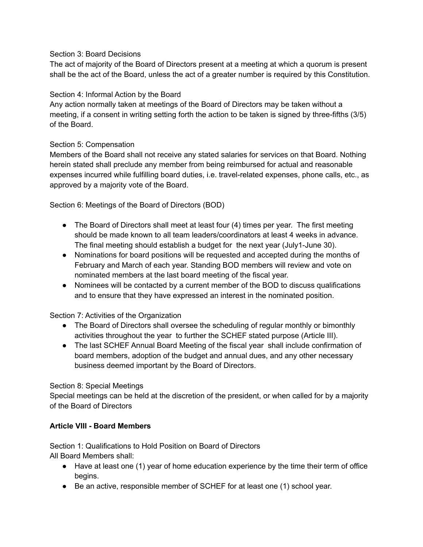#### Section 3: Board Decisions

The act of majority of the Board of Directors present at a meeting at which a quorum is present shall be the act of the Board, unless the act of a greater number is required by this Constitution.

#### Section 4: Informal Action by the Board

Any action normally taken at meetings of the Board of Directors may be taken without a meeting, if a consent in writing setting forth the action to be taken is signed by three-fifths (3/5) of the Board.

# Section 5: Compensation

Members of the Board shall not receive any stated salaries for services on that Board. Nothing herein stated shall preclude any member from being reimbursed for actual and reasonable expenses incurred while fulfilling board duties, i.e. travel-related expenses, phone calls, etc., as approved by a majority vote of the Board.

Section 6: Meetings of the Board of Directors (BOD)

- The Board of Directors shall meet at least four (4) times per year. The first meeting should be made known to all team leaders/coordinators at least 4 weeks in advance. The final meeting should establish a budget for the next year (July1-June 30).
- Nominations for board positions will be requested and accepted during the months of February and March of each year. Standing BOD members will review and vote on nominated members at the last board meeting of the fiscal year.
- Nominees will be contacted by a current member of the BOD to discuss qualifications and to ensure that they have expressed an interest in the nominated position.

# Section 7: Activities of the Organization

- The Board of Directors shall oversee the scheduling of regular monthly or bimonthly activities throughout the year to further the SCHEF stated purpose (Article III).
- The last SCHEF Annual Board Meeting of the fiscal year shall include confirmation of board members, adoption of the budget and annual dues, and any other necessary business deemed important by the Board of Directors.

#### Section 8: Special Meetings

Special meetings can be held at the discretion of the president, or when called for by a majority of the Board of Directors

# **Article VIII - Board Members**

Section 1: Qualifications to Hold Position on Board of Directors All Board Members shall:

- Have at least one (1) year of home education experience by the time their term of office begins.
- Be an active, responsible member of SCHEF for at least one (1) school year.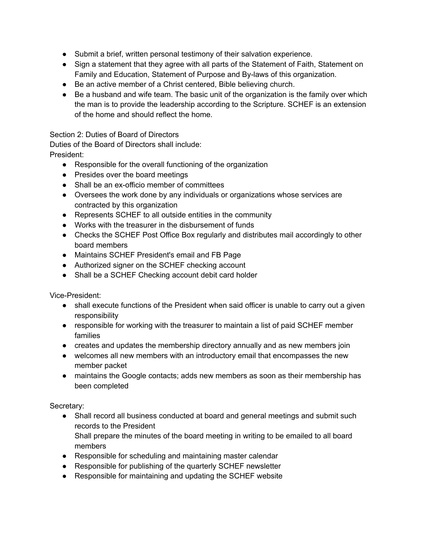- Submit a brief, written personal testimony of their salvation experience.
- Sign a statement that they agree with all parts of the Statement of Faith, Statement on Family and Education, Statement of Purpose and By-laws of this organization.
- Be an active member of a Christ centered, Bible believing church.
- Be a husband and wife team. The basic unit of the organization is the family over which the man is to provide the leadership according to the Scripture. SCHEF is an extension of the home and should reflect the home.

#### Section 2: Duties of Board of Directors

Duties of the Board of Directors shall include:

- President:
	- Responsible for the overall functioning of the organization
	- Presides over the board meetings
	- Shall be an ex-officio member of committees
	- Oversees the work done by any individuals or organizations whose services are contracted by this organization
	- Represents SCHEF to all outside entities in the community
	- Works with the treasurer in the disbursement of funds
	- Checks the SCHEF Post Office Box regularly and distributes mail accordingly to other board members
	- Maintains SCHEF President's email and FB Page
	- Authorized signer on the SCHEF checking account
	- Shall be a SCHEF Checking account debit card holder

Vice-President:

- shall execute functions of the President when said officer is unable to carry out a given responsibility
- responsible for working with the treasurer to maintain a list of paid SCHEF member families
- creates and updates the membership directory annually and as new members join
- welcomes all new members with an introductory email that encompasses the new member packet
- maintains the Google contacts; adds new members as soon as their membership has been completed

Secretary:

• Shall record all business conducted at board and general meetings and submit such records to the President Shall prepare the minutes of the board meeting in writing to be emailed to all board

members

- Responsible for scheduling and maintaining master calendar
- Responsible for publishing of the quarterly SCHEF newsletter
- Responsible for maintaining and updating the SCHEF website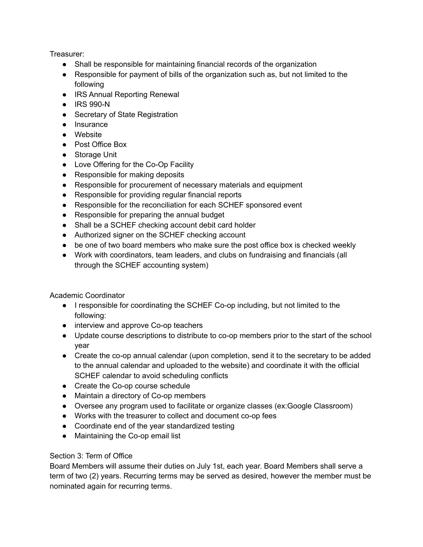Treasurer:

- Shall be responsible for maintaining financial records of the organization
- Responsible for payment of bills of the organization such as, but not limited to the following
- IRS Annual Reporting Renewal
- IRS 990-N
- Secretary of State Registration
- Insurance
- Website
- Post Office Box
- Storage Unit
- Love Offering for the Co-Op Facility
- Responsible for making deposits
- Responsible for procurement of necessary materials and equipment
- Responsible for providing regular financial reports
- Responsible for the reconciliation for each SCHEF sponsored event
- Responsible for preparing the annual budget
- Shall be a SCHEF checking account debit card holder
- Authorized signer on the SCHEF checking account
- be one of two board members who make sure the post office box is checked weekly
- Work with coordinators, team leaders, and clubs on fundraising and financials (all through the SCHEF accounting system)

Academic Coordinator

- I responsible for coordinating the SCHEF Co-op including, but not limited to the following:
- interview and approve Co-op teachers
- Update course descriptions to distribute to co-op members prior to the start of the school year
- Create the co-op annual calendar (upon completion, send it to the secretary to be added to the annual calendar and uploaded to the website) and coordinate it with the official SCHEF calendar to avoid scheduling conflicts
- Create the Co-op course schedule
- Maintain a directory of Co-op members
- Oversee any program used to facilitate or organize classes (ex:Google Classroom)
- Works with the treasurer to collect and document co-op fees
- Coordinate end of the year standardized testing
- Maintaining the Co-op email list

# Section 3: Term of Office

Board Members will assume their duties on July 1st, each year. Board Members shall serve a term of two (2) years. Recurring terms may be served as desired, however the member must be nominated again for recurring terms.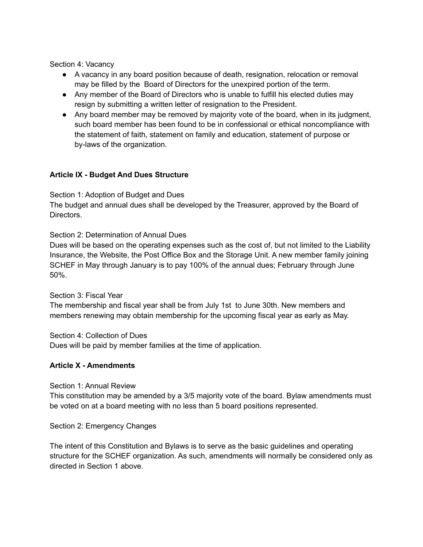Section 4: Vacancy

- A vacancy in any board position because of death, resignation, relocation or removal may be filled by the Board of Directors for the unexpired portion of the term.
- Any member of the Board of Directors who is unable to fulfill his elected duties may resign by submitting a written letter of resignation to the President.
- Any board member may be removed by majority vote of the board, when in its judgment, such board member has been found to be in confessional or ethical noncompliance with the statement of faith, statement on family and education, statement of purpose or by-laws of the organization.

#### **Article IX - Budget And Dues Structure**

Section 1: Adoption of Budget and Dues

The budget and annual dues shall be developed by the Treasurer, approved by the Board of Directors.

Section 2: Determination of Annual Dues

Dues will be based on the operating expenses such as the cost of, but not limited to the Liability Insurance, the Website, the Post Office Box and the Storage Unit. A new member family joining SCHEF in May through January is to pay 100% of the annual dues; February through June 50%.

Section 3: Fiscal Year

The membership and fiscal year shall be from July 1st to June 30th. New members and members renewing may obtain membership for the upcoming fiscal year as early as May.

Section 4: Collection of Dues Dues will be paid by member families at the time of application.

#### **Article X - Amendments**

Section 1: Annual Review

This constitution may be amended by a 3/5 majority vote of the board. Bylaw amendments must be voted on at a board meeting with no less than 5 board positions represented.

Section 2: Emergency Changes

The intent of this Constitution and Bylaws is to serve as the basic guidelines and operating structure for the SCHEF organization. As such, amendments will normally be considered only as directed in Section 1 above.